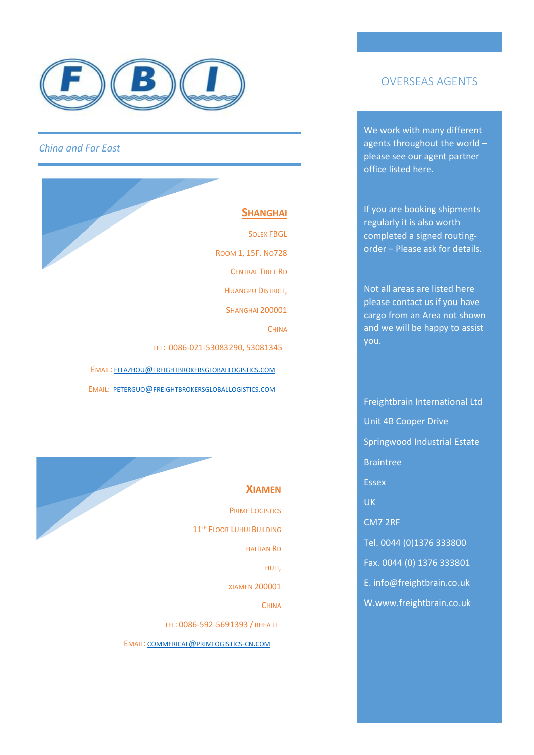

**SHANGHAI** SOLEX FBGL ROOM 1, 15F. NO728 CENTRAL TIBET RD HUANGPU DISTRICT, **SHANGHAI 200001 CHINA**  TEL: 0086-021-53083290, 53081345 EMAIL: ELLAZHOU@[FREIGHTBROKERSGLOBALLOGISTICS](mailto:ellazhou@freightbrokersgloballogistics.com).COM EMAIL: PETERGUO@[FREIGHTBROKERSGLOBALLOGISTICS](mailto:peterguo@freightbrokersgloballogistics.com).COM



PRIME LOGISTICS 11<sup>TH</sup> FLOOR LUHUI BUILDING HAITIAN RD HULI, XIAMEN 200001 **CHINA**  TEL: 0086-592-5691393 / RHEA LI EMAIL: COMMERICAL@[PRIMLOGISTICS](mailto:commerical@primlogistics-cn.com)-CN.COM

## OVERSEAS AGENTS

We work with many different agents throughout the world – please see our agent partner office listed here.

If you are booking shipments regularly it is also worth completed a signed routingorder – Please ask for details.

Not all areas are listed here please contact us if you have cargo from an Area not shown and we will be happy to assist you.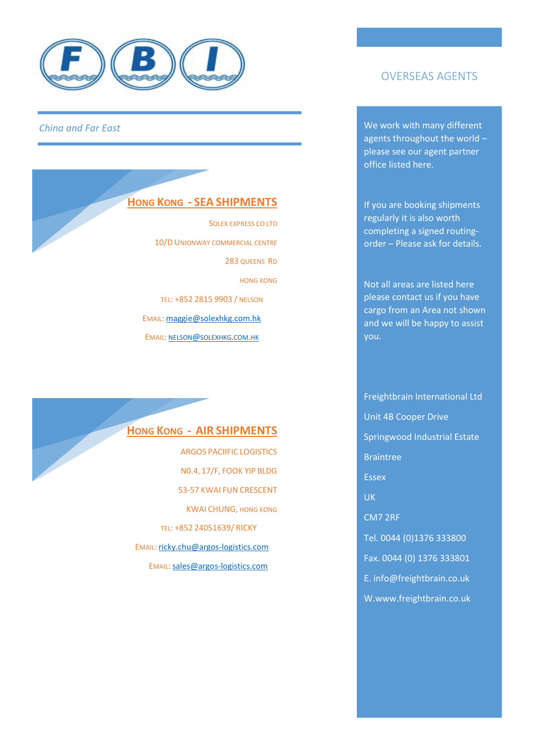

#### **HONG KONG - SEA SHIPMENTS**

SOLEX EXPRESS CO LTD 10/D UNIONWAY COMMERCIAL CENTRE 283 QUEENS RD HONG KONG TEL: +852 2815 9903 / NELSON EMAIL: [maggie@solexhkg.com.hk](mailto:maggie@solexhkg.com.hk) EMAIL: NELSON@[SOLEXHKG](mailto:nelson@solexhkg.com.hk).COM.HK

#### **HONG KONG - AIR SHIPMENTS**

ARGOS PACIIFIC LOGISTICS N0.4, 17/F, FOOK YIP BLDG 53-57 KWAI FUN CRESCENT KWAI CHUNG, HONG KONG TEL: +852 24051639/ RICKY EMAIL: [ricky.chu@argos-logistics.com](mailto:ricky.chu@argos-logistics.com) EMAIL: sales@argos-logistics.com

## OVERSEAS AGENTS

We work with many different agents throughout the world – please see our agent partner office listed here.

If you are booking shipments regularly it is also worth completing a signed routingorder – Please ask for details.

Not all areas are listed here please contact us if you have cargo from an Area not shown and we will be happy to assist you.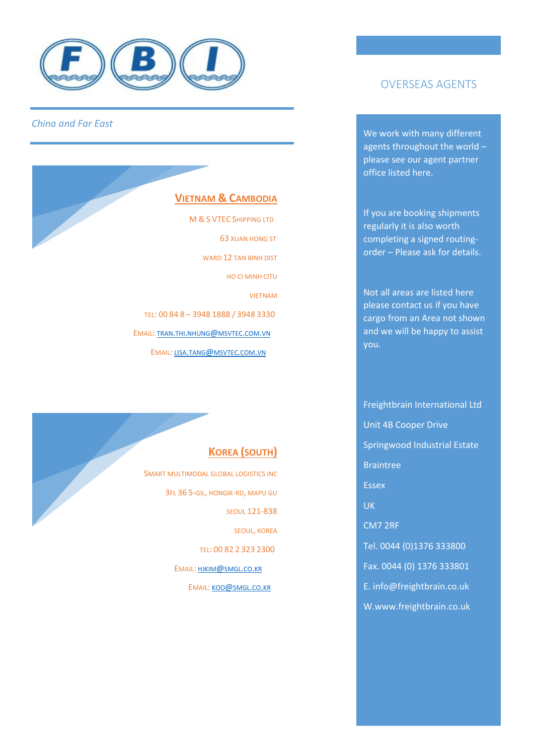

#### **VIETNAM & CAMBODIA**

 M & S VTEC SHIPPING LTD 63 XUAN HONG ST WARD 12 TAN BINH DIST HO CI MINH CITU VIETNAM TEL: 00 84 8 – 3948 1888 / 3948 3330 EMAIL: TRAN.THI.NHUNG@[MSVTEC](mailto:tran.thi.nhung@msvtec.com.vn).COM.VN EMAIL: LISA.TANG@[MSVTEC](mailto:lisa.tang@msvtec.com.vn).COM.VN

## **KOREA (SOUTH)**

SMART MULTIMODAL GLOBAL LOGISTICS INC 3FL 36 5-GIL, HONGIK-RD, MAPU GU SEOUL 121-838 SEOUL, KOREA TEL: 00 82 2 323 2300 EMAIL: [HJKIM](mailto:hjkim@smgl.co.kr)@SMGL.CO.KR EMAIL: KOO@[SMGL](mailto:koo@smgl.co.kr).CO.KR

# OVERSEAS AGENTS

We work with many different agents throughout the world – please see our agent partner office listed here.

If you are booking shipments regularly it is also worth completing a signed routingorder – Please ask for details.

Not all areas are listed here please contact us if you have cargo from an Area not shown and we will be happy to assist you.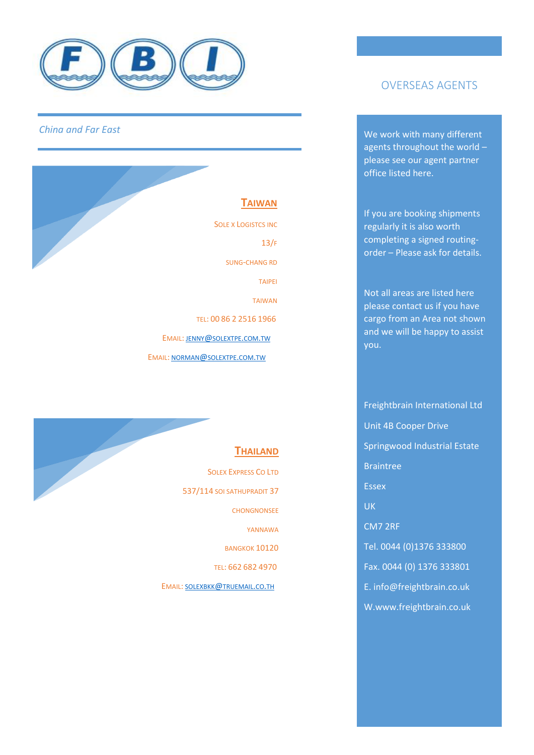

**TAIWAN** SOLE X LOGISTCS INC 13/F SUNG-CHANG RD TAIPEI TAIWAN TEL: 00 86 2 2516 1966 EMAIL: JENNY@[SOLEXTPE](mailto:jenny@solextpe.com.tw).COM.TW EMAIL: NORMAN@[SOLEXTPE](mailto:norman@solextpe.com.tw).COM.TW



# OVERSEAS AGENTS

We work with many different agents throughout the world – please see our agent partner office listed here.

If you are booking shipments regularly it is also worth completing a signed routingorder – Please ask for details.

Not all areas are listed here please contact us if you have cargo from an Area not shown and we will be happy to assist you.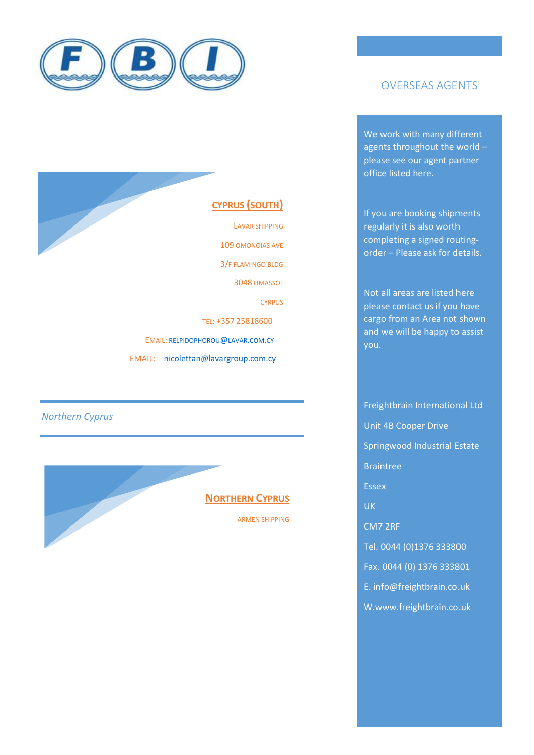

# OVERSEAS AGENTS

We work with many different agents throughout the world – please see our agent partner office listed here.

If you are booking shipments regularly it is also worth completing a signed routingorder – Please ask for details.

Not all areas are listed here please contact us if you have cargo from an Area not shown and we will be happy to assist you.

Freightbrain International Ltd Unit 4B Cooper Drive Springwood Industrial Estate Braintree Essex UK CM7 2RF Tel. 0044 (0)1376 333800 Fax. 0044 (0) 1376 333801 E. info@freightbrain.co.uk W.www.freightbrain.co.uk

# **CYPRUS (SOUTH)**

LAVAR SHIPPING 109 OMONOIAS AVE 3/F FLAMINGO BLDG 3048 LIMASSOL CYRPUS TEL: +357 25818600 EMAIL: [RELPIDOPHOROU](mailto:relpidophorou@lavar.com.cy)@LAVAR.COM.CY EMAIL:[nicolettan@lavargroup.com.cy](mailto:nicolettan@lavargroup.com.cy)

*Northern Cyprus*

ĺ

# **NORTHERN CYPRUS**

ARMEN SHIPPING